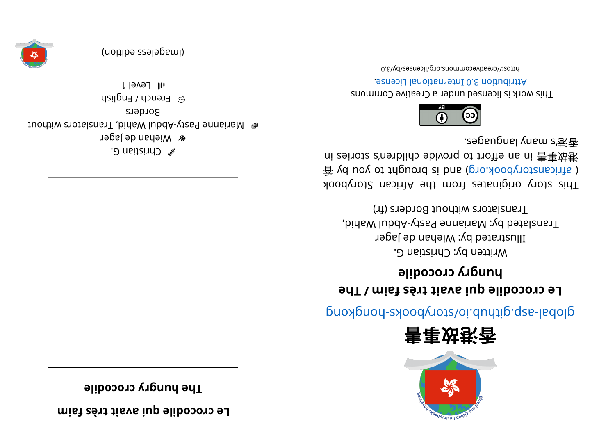**mi af sèrt ti avai uq eli docorc eL**

**eli docorc yr gnuh ehT**



 $\mathscr{D}$  Christian G. **&** Wiehan de Jager t uohti wahid, hidaw lubda- yt sanai wahid, the without Borders  $\odot$  French / English

l level 1









glops- sajoopy. appropriate system is a proportional above system in the subset of  $\mathfrak{g}$ 

## **ehT/ mi af sèrt ti avai uq eli docorc eL bubb**. **y** crocodile

Written by: Christian G. Illustrated by: Wiehan de Jager Translated by: Marianne Pasty-Abdul Wahid, Translators without Borders (fr)

This story originates from the African Storybook  $\frac{2}{3}$  yd uoy ot triguord si bna (po. kood $\gamma$ otzna) in s ni zei ot a 'conblid ebivonq ot trofte ni 害事效巷 . segaugnal yna ms' 港⾹



This work is licensed under a Creative Commons . esnecial lanoit annul 0. S noit udint A

0. Elydsecommons.org/licenses/by/3.0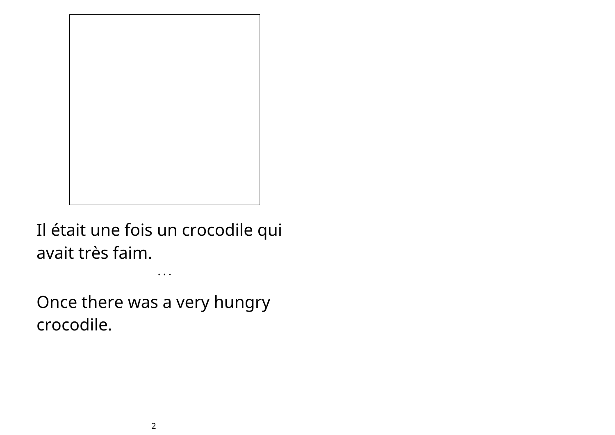

Il était une fois un crocodile qui avait très faim.

• • •

Once there was a very hungry crocodile.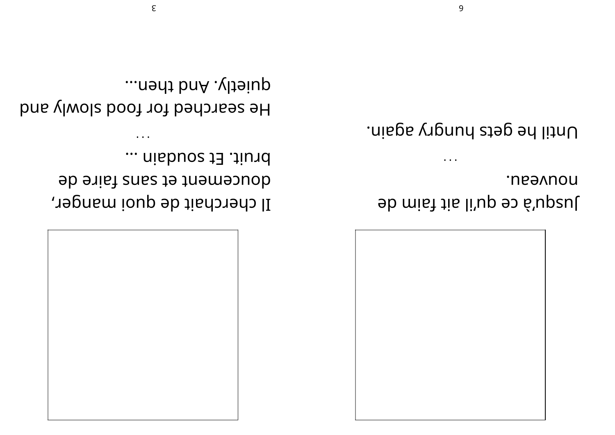

neavuon. Jusef de dn.il ait faim de

Until he gets hungry again.

 $\sim$   $\sim$   $\sim$ 

bruit. Et soudain ... doucement et sans faire de Il cherchait de quoi manger,

unietly. And then... He searched for food slowly and